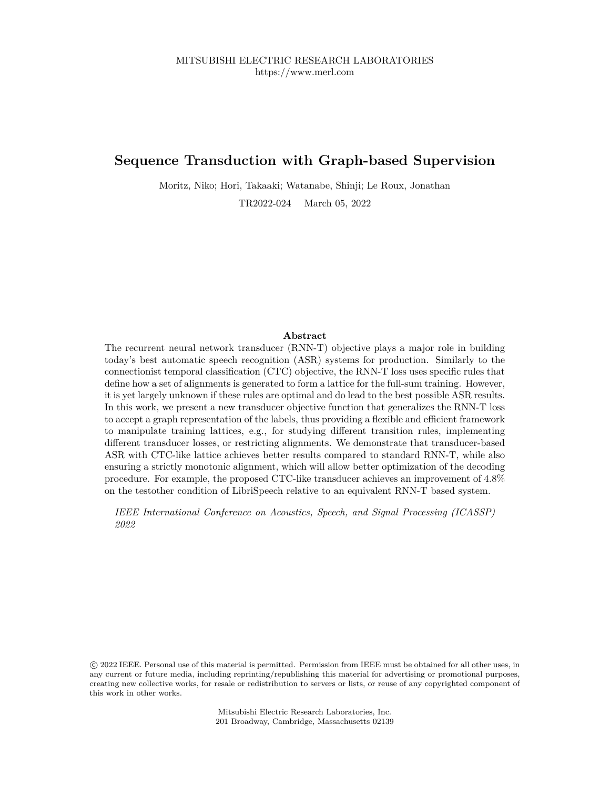# **Sequence Transduction with Graph-based Supervision**

Moritz, Niko; Hori, Takaaki; Watanabe, Shinji; Le Roux, Jonathan

TR2022-024 March 05, 2022

# **Abstract**

The recurrent neural network transducer (RNN-T) objective plays a major role in building today's best automatic speech recognition (ASR) systems for production. Similarly to the connectionist temporal classification (CTC) objective, the RNN-T loss uses specific rules that define how a set of alignments is generated to form a lattice for the full-sum training. However, it is yet largely unknown if these rules are optimal and do lead to the best possible ASR results. In this work, we present a new transducer objective function that generalizes the RNN-T loss to accept a graph representation of the labels, thus providing a flexible and efficient framework to manipulate training lattices, e.g., for studying different transition rules, implementing different transducer losses, or restricting alignments. We demonstrate that transducer-based ASR with CTC-like lattice achieves better results compared to standard RNN-T, while also ensuring a strictly monotonic alignment, which will allow better optimization of the decoding procedure. For example, the proposed CTC-like transducer achieves an improvement of 4.8% on the testother condition of LibriSpeech relative to an equivalent RNN-T based system.

*IEEE International Conference on Acoustics, Speech, and Signal Processing (ICASSP) 2022*

 c 2022 IEEE. Personal use of this material is permitted. Permission from IEEE must be obtained for all other uses, in any current or future media, including reprinting/republishing this material for advertising or promotional purposes, creating new collective works, for resale or redistribution to servers or lists, or reuse of any copyrighted component of this work in other works.

> Mitsubishi Electric Research Laboratories, Inc. 201 Broadway, Cambridge, Massachusetts 02139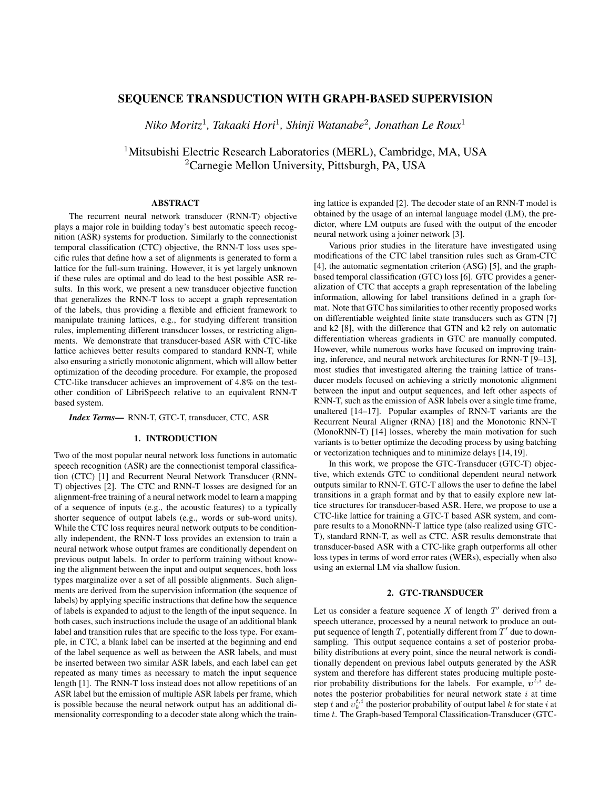# SEQUENCE TRANSDUCTION WITH GRAPH-BASED SUPERVISION

*Niko Moritz*<sup>1</sup> *, Takaaki Hori*<sup>1</sup> *, Shinji Watanabe*<sup>2</sup> *, Jonathan Le Roux*<sup>1</sup>

<sup>1</sup>Mitsubishi Electric Research Laboratories (MERL), Cambridge, MA, USA <sup>2</sup>Carnegie Mellon University, Pittsburgh, PA, USA

## ABSTRACT

The recurrent neural network transducer (RNN-T) objective plays a major role in building today's best automatic speech recognition (ASR) systems for production. Similarly to the connectionist temporal classification (CTC) objective, the RNN-T loss uses specific rules that define how a set of alignments is generated to form a lattice for the full-sum training. However, it is yet largely unknown if these rules are optimal and do lead to the best possible ASR results. In this work, we present a new transducer objective function that generalizes the RNN-T loss to accept a graph representation of the labels, thus providing a flexible and efficient framework to manipulate training lattices, e.g., for studying different transition rules, implementing different transducer losses, or restricting alignments. We demonstrate that transducer-based ASR with CTC-like lattice achieves better results compared to standard RNN-T, while also ensuring a strictly monotonic alignment, which will allow better optimization of the decoding procedure. For example, the proposed CTC-like transducer achieves an improvement of 4.8% on the testother condition of LibriSpeech relative to an equivalent RNN-T based system.

*Index Terms*— RNN-T, GTC-T, transducer, CTC, ASR

# 1. INTRODUCTION

Two of the most popular neural network loss functions in automatic speech recognition (ASR) are the connectionist temporal classification (CTC) [1] and Recurrent Neural Network Transducer (RNN-T) objectives [2]. The CTC and RNN-T losses are designed for an alignment-free training of a neural network model to learn a mapping of a sequence of inputs (e.g., the acoustic features) to a typically shorter sequence of output labels (e.g., words or sub-word units). While the CTC loss requires neural network outputs to be conditionally independent, the RNN-T loss provides an extension to train a neural network whose output frames are conditionally dependent on previous output labels. In order to perform training without knowing the alignment between the input and output sequences, both loss types marginalize over a set of all possible alignments. Such alignments are derived from the supervision information (the sequence of labels) by applying specific instructions that define how the sequence of labels is expanded to adjust to the length of the input sequence. In both cases, such instructions include the usage of an additional blank label and transition rules that are specific to the loss type. For example, in CTC, a blank label can be inserted at the beginning and end of the label sequence as well as between the ASR labels, and must be inserted between two similar ASR labels, and each label can get repeated as many times as necessary to match the input sequence length [1]. The RNN-T loss instead does not allow repetitions of an ASR label but the emission of multiple ASR labels per frame, which is possible because the neural network output has an additional dimensionality corresponding to a decoder state along which the training lattice is expanded [2]. The decoder state of an RNN-T model is obtained by the usage of an internal language model (LM), the predictor, where LM outputs are fused with the output of the encoder neural network using a joiner network [3].

Various prior studies in the literature have investigated using modifications of the CTC label transition rules such as Gram-CTC [4], the automatic segmentation criterion (ASG) [5], and the graphbased temporal classification (GTC) loss [6]. GTC provides a generalization of CTC that accepts a graph representation of the labeling information, allowing for label transitions defined in a graph format. Note that GTC has similarities to other recently proposed works on differentiable weighted finite state transducers such as GTN [7] and k2 [8], with the difference that GTN and k2 rely on automatic differentiation whereas gradients in GTC are manually computed. However, while numerous works have focused on improving training, inference, and neural network architectures for RNN-T [9–13], most studies that investigated altering the training lattice of transducer models focused on achieving a strictly monotonic alignment between the input and output sequences, and left other aspects of RNN-T, such as the emission of ASR labels over a single time frame, unaltered [14–17]. Popular examples of RNN-T variants are the Recurrent Neural Aligner (RNA) [18] and the Monotonic RNN-T (MonoRNN-T) [14] losses, whereby the main motivation for such variants is to better optimize the decoding process by using batching or vectorization techniques and to minimize delays [14, 19].

In this work, we propose the GTC-Transducer (GTC-T) objective, which extends GTC to conditional dependent neural network outputs similar to RNN-T. GTC-T allows the user to define the label transitions in a graph format and by that to easily explore new lattice structures for transducer-based ASR. Here, we propose to use a CTC-like lattice for training a GTC-T based ASR system, and compare results to a MonoRNN-T lattice type (also realized using GTC-T), standard RNN-T, as well as CTC. ASR results demonstrate that transducer-based ASR with a CTC-like graph outperforms all other loss types in terms of word error rates (WERs), especially when also using an external LM via shallow fusion.

## 2. GTC-TRANSDUCER

Let us consider a feature sequence X of length  $T'$  derived from a speech utterance, processed by a neural network to produce an output sequence of length  $T$ , potentially different from  $T'$  due to downsampling. This output sequence contains a set of posterior probability distributions at every point, since the neural network is conditionally dependent on previous label outputs generated by the ASR system and therefore has different states producing multiple posterior probability distributions for the labels. For example,  $v^{t,i}$  denotes the posterior probabilities for neural network state  $i$  at time step t and  $v_k^{t,i}$  the posterior probability of output label k for state i at time t. The Graph-based Temporal Classification-Transducer (GTC-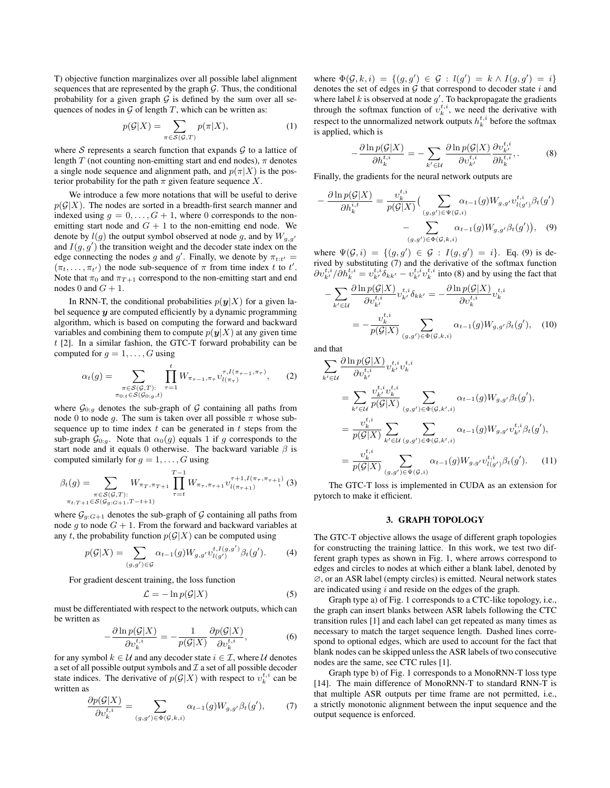T) objective function marginalizes over all possible label alignment sequences that are represented by the graph  $G$ . Thus, the conditional probability for a given graph  $G$  is defined by the sum over all sequences of nodes in  $G$  of length  $T$ , which can be written as:

$$
p(\mathcal{G}|X) = \sum_{\pi \in \mathcal{S}(\mathcal{G},T)} p(\pi|X),\tag{1}
$$

where S represents a search function that expands  $G$  to a lattice of length T (not counting non-emitting start and end nodes),  $\pi$  denotes a single node sequence and alignment path, and  $p(\pi|X)$  is the posterior probability for the path  $\pi$  given feature sequence X.

We introduce a few more notations that will be useful to derive  $p(G|X)$ . The nodes are sorted in a breadth-first search manner and indexed using  $g = 0, \ldots, G + 1$ , where 0 corresponds to the nonemitting start node and  $G + 1$  to the non-emitting end node. We denote by  $l(g)$  the output symbol observed at node g, and by  $W_{g,g'}$ and  $I(g, g')$  the transition weight and the decoder state index on the edge connecting the nodes g and g'. Finally, we denote by  $\pi_{t:t'} =$  $(\pi_t, \ldots, \pi_{t'})$  the node sub-sequence of  $\pi$  from time index t to t'. Note that  $\pi_0$  and  $\pi_{T+1}$  correspond to the non-emitting start and end nodes 0 and  $G + 1$ .

In RNN-T, the conditional probabilities  $p(\mathbf{y}|X)$  for a given label sequence  $y$  are computed efficiently by a dynamic programming algorithm, which is based on computing the forward and backward variables and combining them to compute  $p(y|X)$  at any given time t [2]. In a similar fashion, the GTC-T forward probability can be computed for  $q = 1, \ldots, G$  using

$$
\alpha_t(g) = \sum_{\substack{\pi \in S(\mathcal{G}, T): \\ \pi_{0:t} \in S(\mathcal{G}_{0:g}, t)}} \prod_{\tau=1}^t W_{\pi_{\tau-1}, \pi_{\tau}} v_{l(\pi_{\tau})}^{\tau, I(\pi_{\tau-1}, \pi_{\tau})}, \qquad (2)
$$

where  $\mathcal{G}_{0:g}$  denotes the sub-graph of  $\mathcal G$  containing all paths from node 0 to node g. The sum is taken over all possible  $\pi$  whose subsequence up to time index  $t$  can be generated in  $t$  steps from the sub-graph  $\mathcal{G}_{0:g}$ . Note that  $\alpha_0(g)$  equals 1 if g corresponds to the start node and it equals 0 otherwise. The backward variable  $\beta$  is computed similarly for  $g = 1, \ldots, G$  using

$$
\beta_t(g) = \sum_{\substack{\pi \in S(\mathcal{G}, T): \\ \pi_{t:T+1} \in S(\mathcal{G}_{g:G+1}, T-t+1)}} W_{\pi_T, \pi_{T+1}} \prod_{\tau=t}^{T-1} W_{\pi_{\tau}, \pi_{\tau+1}} v_{l(\pi_{\tau+1})}^{\tau+1, I(\pi_{\tau}, \pi_{\tau+1})} (3)
$$

where  $\mathcal{G}_{g:G+1}$  denotes the sub-graph of  $\mathcal G$  containing all paths from node g to node  $G + 1$ . From the forward and backward variables at any t, the probability function  $p(G|X)$  can be computed using

$$
p(G|X) = \sum_{(g,g') \in \mathcal{G}} \alpha_{t-1}(g) W_{g,g'} v_{l(g')}^{t, I(g,g')} \beta_t(g'). \tag{4}
$$

For gradient descent training, the loss function

$$
\mathcal{L} = -\ln p(\mathcal{G}|X) \tag{5}
$$

must be differentiated with respect to the network outputs, which can be written as

$$
-\frac{\partial \ln p(\mathcal{G}|X)}{\partial v_k^{t,i}} = -\frac{1}{p(\mathcal{G}|X)} \frac{\partial p(\mathcal{G}|X)}{\partial v_k^{t,i}},\tag{6}
$$

for any symbol  $k \in \mathcal{U}$  and any decoder state  $i \in \mathcal{I}$ , where  $\mathcal{U}$  denotes a set of all possible output symbols and  $\mathcal I$  a set of all possible decoder state indices. The derivative of  $p(G|X)$  with respect to  $v_k^{t,i}$  can be written as

$$
\frac{\partial p(\mathcal{G}|X)}{\partial v_k^{t,i}} = \sum_{(g,g') \in \Phi(\mathcal{G},k,i)} \alpha_{t-1}(g) W_{g,g'} \beta_t(g'),\tag{7}
$$

where  $\Phi(\mathcal{G}, k, i) = \{ (g, g') \in \mathcal{G} : l(g') = k \wedge I(g, g') = i \}$ denotes the set of edges in  $G$  that correspond to decoder state i and where label k is observed at node  $g'$ . To backpropagate the gradients through the softmax function of  $v_k^{t,i}$ , we need the derivative with respect to the unnormalized network outputs  $h_k^{t,i}$  before the softmax is applied, which is

$$
-\frac{\partial \ln p(\mathcal{G}|X)}{\partial h_k^{t,i}} = -\sum_{k' \in \mathcal{U}} \frac{\partial \ln p(\mathcal{G}|X)}{\partial v_{k'}^{t,i}} \frac{\partial v_{k'}^{t,i}}{\partial h_k^{t,i}},\tag{8}
$$

Finally, the gradients for the neural network outputs are

 $\overline{f}$ 

$$
-\frac{\partial \ln p(\mathcal{G}|X)}{\partial h_k^{i,t}} = \frac{v_k^{t,i}}{p(\mathcal{G}|X)} \Big(\sum_{(g,g') \in \Psi(\mathcal{G},i)} \alpha_{t-1}(g) W_{g,g'} v_{l(g')}^{t,i} \beta_t(g') - \sum_{(g,g') \in \Phi(\mathcal{G},k,i)} \alpha_{t-1}(g) W_{g,g'} \beta_t(g')\Big), \quad (9)
$$

where  $\Psi(\mathcal{G}, i) = \{ (g, g') \in \mathcal{G} : I(g, g') = i \}.$  Eq. (9) is derived by substituting (7) and the derivative of the softmax function  $\partial v_{k'}^{t,i}/\partial h_k^{t,i} = v_{k'}^{t,i} \overline{\delta}_{kk'} - v_{k'}^{t,i} v_k^{t,i}$  into (8) and by using the fact that

$$
-\sum_{k' \in \mathcal{U}} \frac{\partial \ln p(\mathcal{G}|X)}{\partial v_{k'}^{t,i}} v_{k'}^{t,i} \delta_{kk'} = -\frac{\partial \ln p(\mathcal{G}|X)}{\partial v_k^{t,i}} v_k^{t,i}
$$

$$
= -\frac{v_k^{t,i}}{p(\mathcal{G}|X)} \sum_{(g,g') \in \Phi(\mathcal{G},k,i)} \alpha_{t-1}(g) W_{g,g'} \beta_t(g'), \quad (10)
$$

and that

$$
\sum_{k' \in \mathcal{U}} \frac{\partial \ln p(\mathcal{G}|X)}{\partial v_{k'}^{t,i}} v_{k'}^{t,i} v_k^{t,i}
$$
\n
$$
= \sum_{k' \in \mathcal{U}} \frac{v_{k'}^{t,i} v_k^{t,i}}{p(\mathcal{G}|X)} \sum_{(g,g') \in \Phi(\mathcal{G},k',i)} \alpha_{t-1}(g) W_{g,g'} \beta_t(g'),
$$
\n
$$
= \frac{v_k^{t,i}}{p(\mathcal{G}|X)} \sum_{k' \in \mathcal{U}} \sum_{(g,g') \in \Phi(\mathcal{G},k',i)} \alpha_{t-1}(g) W_{g,g'} v_{k'}^{t,i} \beta_t(g'),
$$
\n
$$
= \frac{v_k^{t,i}}{p(\mathcal{G}|X)} \sum_{(g,g') \in \Psi(\mathcal{G},i)} \alpha_{t-1}(g) W_{g,g'} v_{l(g')}^{t,i} \beta_t(g'). \quad (11)
$$

The GTC-T loss is implemented in CUDA as an extension for pytorch to make it efficient.

#### 3. GRAPH TOPOLOGY

The GTC-T objective allows the usage of different graph topologies for constructing the training lattice. In this work, we test two different graph types as shown in Fig. 1, where arrows correspond to edges and circles to nodes at which either a blank label, denoted by ∅, or an ASR label (empty circles) is emitted. Neural network states are indicated using  $i$  and reside on the edges of the graph.

Graph type a) of Fig. 1 corresponds to a CTC-like topology, i.e., the graph can insert blanks between ASR labels following the CTC transition rules [1] and each label can get repeated as many times as necessary to match the target sequence length. Dashed lines correspond to optional edges, which are used to account for the fact that blank nodes can be skipped unless the ASR labels of two consecutive nodes are the same, see CTC rules [1].

Graph type b) of Fig. 1 corresponds to a MonoRNN-T loss type [14]. The main difference of MonoRNN-T to standard RNN-T is that multiple ASR outputs per time frame are not permitted, i.e., a strictly monotonic alignment between the input sequence and the output sequence is enforced.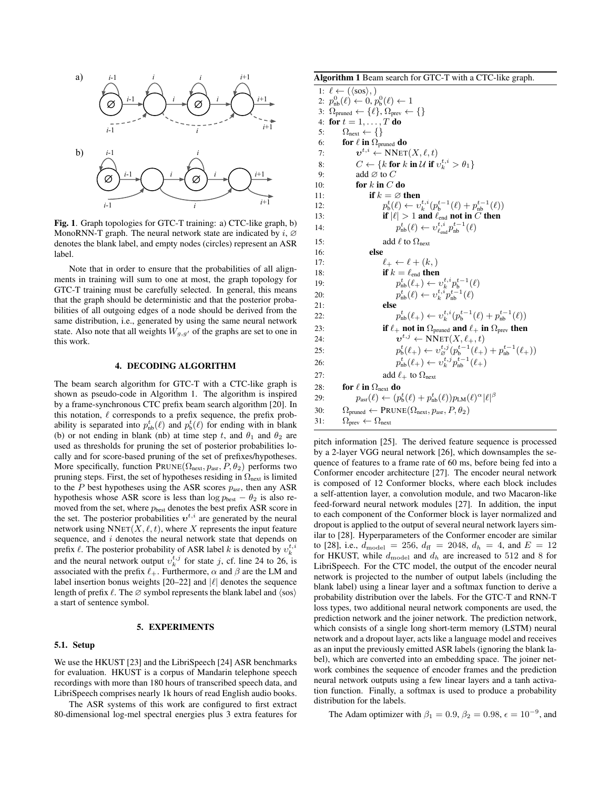

Fig. 1. Graph topologies for GTC-T training: a) CTC-like graph, b) MonoRNN-T graph. The neural network state are indicated by  $i$ ,  $\varnothing$ denotes the blank label, and empty nodes (circles) represent an ASR label.

Note that in order to ensure that the probabilities of all alignments in training will sum to one at most, the graph topology for GTC-T training must be carefully selected. In general, this means that the graph should be deterministic and that the posterior probabilities of all outgoing edges of a node should be derived from the same distribution, i.e., generated by using the same neural network state. Also note that all weights  $W_{g,g'}$  of the graphs are set to one in this work.

## 4. DECODING ALGORITHM

The beam search algorithm for GTC-T with a CTC-like graph is shown as pseudo-code in Algorithm 1. The algorithm is inspired by a frame-synchronous CTC prefix beam search algorithm [20]. In this notation,  $\ell$  corresponds to a prefix sequence, the prefix probability is separated into  $p_{\text{nb}}^t(\ell)$  and  $p_{\text{b}}^t(\ell)$  for ending with in blank (b) or not ending in blank (nb) at time step t, and  $\theta_1$  and  $\theta_2$  are used as thresholds for pruning the set of posterior probabilities locally and for score-based pruning of the set of prefixes/hypotheses. More specifically, function  $PRUNE(\Omega_{next}, p_{asr}, P, \theta_2)$  performs two pruning steps. First, the set of hypotheses residing in  $\Omega_{\text{next}}$  is limited to the P best hypotheses using the ASR scores  $p_{\text{asr}}$ , then any ASR hypothesis whose ASR score is less than  $\log p_{\text{best}} - \theta_2$  is also removed from the set, where  $p_{best}$  denotes the best prefix ASR score in the set. The posterior probabilities  $v^{t,i}$  are generated by the neural network using  $NNET(X, \ell, t)$ , where X represents the input feature sequence, and i denotes the neural network state that depends on prefix  $\ell$ . The posterior probability of ASR label k is denoted by  $v_k^{t,i}$ and the neural network output  $v_k^{t,j}$  for state j, cf. line 24 to 26, is associated with the prefix  $\ell_+$ . Furthermore,  $\alpha$  and  $\beta$  are the LM and label insertion bonus weights  $[20-22]$  and  $|\ell|$  denotes the sequence length of prefix  $\ell$ . The ∅ symbol represents the blank label and  $\langle$ sos $\rangle$ a start of sentence symbol.

#### 5. EXPERIMENTS

#### 5.1. Setup

We use the HKUST [23] and the LibriSpeech [24] ASR benchmarks for evaluation. HKUST is a corpus of Mandarin telephone speech recordings with more than 180 hours of transcribed speech data, and LibriSpeech comprises nearly 1k hours of read English audio books.

The ASR systems of this work are configured to first extract 80-dimensional log-mel spectral energies plus 3 extra features for

| Algorithm 1 Beam search for GTC-T with a CTC-like graph. |  |  |
|----------------------------------------------------------|--|--|
|----------------------------------------------------------|--|--|

1:  $\ell \leftarrow (\langle \text{sos} \rangle, )$ 2:  $p_{\rm nb}^0(\ell) \leftarrow 0, p_{\rm b}^0(\ell) \leftarrow 1$ 3:  $\Omega_{pruned} \leftarrow {\ell}, \Omega_{prev} \leftarrow {\{\}}$ 4: for  $t = 1, \ldots, T$  do 5:  $\Omega_{\text{next}} \leftarrow \{\}$ 6: **for**  $\ell$  **in**  $\Omega_{pruned}$  **do**<br>7:  $\boldsymbol{v}^{t,i} \leftarrow \text{NNET}$ 7:  $\boldsymbol{v}^{t,i} \leftarrow \text{NNET}(X, \ell, t)$ 8:  $C \leftarrow \{k \text{ for } k \text{ in } \mathcal{U} \text{ if } v_k^{t,i} > \theta_1\}$ 8:  $C \leftarrow \{k \text{ fo} \}$ <br>9: add ∅ to C 10: **for**  $k$  in  $C$  do 11: **if**  $k = \emptyset$  then 12:  $p_{\mathbf{b}}^{t}(\ell) \leftarrow v_{k}^{t,i}(p_{\mathbf{b}}^{t-1}(\ell) + p_{\mathbf{nb}}^{t-1}(\ell))$ 13: **if**  $|\ell| > 1$  and  $\ell_{end}$  not in C then 14:  $p_{\text{nb}}^t(\ell) \leftarrow v_{\ell_{\text{end}}}^{t,i} p_{\text{nb}}^{t-1}(\ell)$ 15: add  $\ell$  to  $\Omega_{\text{next}}$ 16: else 17:  $\ell_+ \leftarrow \ell + (k, )$ 18: **if**  $k = \ell_{end}$  **then**  $19:$  $t_{\text{nb}}^t(\ell_+) \leftarrow v_k^{t,i} p_{\text{b}}^{t-1}(\ell)$ <br> $t_{\text{nb}}^t(\ell) \leftarrow v_k^{t,i} p_{\text{nb}}^{t-1}(\ell)$ 20:  $p$ 21: else 22:  $p$  $v_{\text{nb}}^{t}(\ell_{+}) \leftarrow v_{k}^{t,i}(p_{\text{b}}^{t-1}(\ell) + p_{\text{nb}}^{t-1}(\ell))$ 23: **if**  $\ell_+$  not in  $\Omega_{pruned}$  and  $\ell_+$  in  $\Omega_{prev}$  then 24:  $\boldsymbol{v}^{t,j} \leftarrow \text{NNET}(X, \ell_+, t)$ 25:  $p_{\rm b}^t(\ell_+) \leftarrow v_{\varnothing}^{t,j}(p_{\rm b}^{t-1}(\ell_+) + p_{\rm nb}^{t-1}(\ell_+))$ 26:  $p_{\text{nb}}^t(\ell_+) \leftarrow v_k^{t,j} p_{\text{nb}}^{t-1}(\ell_+)$ 27: add  $\ell_+$  to  $\Omega_{\text{next}}$ 28: for  $\ell$  in  $\Omega_{\text{next}}$  do 29:  $p_{\text{asr}}(\ell) \leftarrow (p_{\text{b}}^t(\ell) + p_{\text{nb}}^t(\ell))p_{\text{LM}}(\ell)^{\alpha}|\ell|^{\beta}$ 30:  $\Omega_{pruned} \leftarrow PRUNE(\Omega_{next}, p_{asr}, P, \theta_2)$ 31:  $\Omega_{prev} \leftarrow \Omega_{next}$ 

pitch information [25]. The derived feature sequence is processed by a 2-layer VGG neural network [26], which downsamples the sequence of features to a frame rate of 60 ms, before being fed into a Conformer encoder architecture [27]. The encoder neural network is composed of 12 Conformer blocks, where each block includes a self-attention layer, a convolution module, and two Macaron-like feed-forward neural network modules [27]. In addition, the input to each component of the Conformer block is layer normalized and dropout is applied to the output of several neural network layers similar to [28]. Hyperparameters of the Conformer encoder are similar to [28], i.e.,  $d_{\text{model}} = 256$ ,  $d_{\text{ff}} = 2048$ ,  $d_h = 4$ , and  $E = 12$ for HKUST, while  $d_{\text{model}}$  and  $d_h$  are increased to 512 and 8 for LibriSpeech. For the CTC model, the output of the encoder neural network is projected to the number of output labels (including the blank label) using a linear layer and a softmax function to derive a probability distribution over the labels. For the GTC-T and RNN-T loss types, two additional neural network components are used, the prediction network and the joiner network. The prediction network, which consists of a single long short-term memory (LSTM) neural network and a dropout layer, acts like a language model and receives as an input the previously emitted ASR labels (ignoring the blank label), which are converted into an embedding space. The joiner network combines the sequence of encoder frames and the prediction neural network outputs using a few linear layers and a tanh activation function. Finally, a softmax is used to produce a probability distribution for the labels.

The Adam optimizer with  $\beta_1 = 0.9$ ,  $\beta_2 = 0.98$ ,  $\epsilon = 10^{-9}$ , and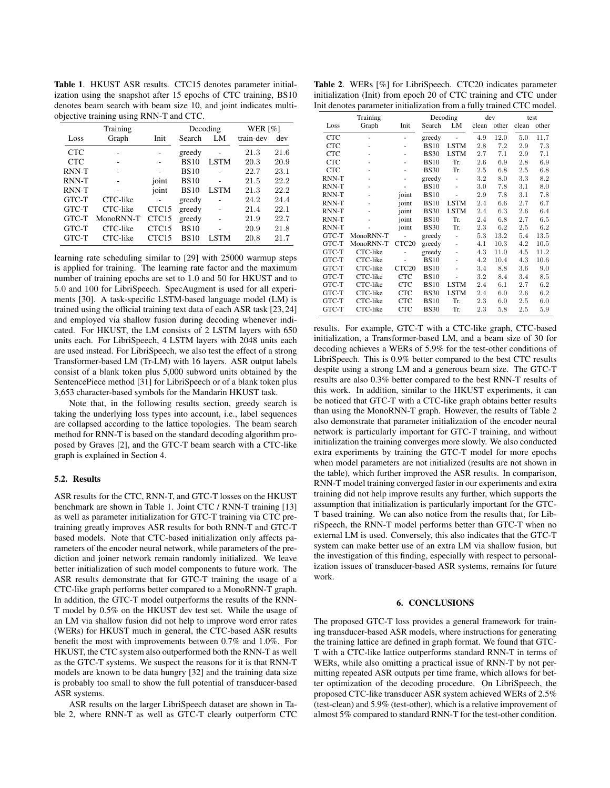Table 1. HKUST ASR results. CTC15 denotes parameter initialization using the snapshot after 15 epochs of CTC training, BS10 denotes beam search with beam size 10, and joint indicates multiobjective training using RNN-T and CTC.

|            | Training  |                   | Decoding    |             | WER $\lceil\% \rceil$ |      |
|------------|-----------|-------------------|-------------|-------------|-----------------------|------|
| Loss       | Graph     | Init              | Search      | LM          | train-dev             | dev  |
| <b>CTC</b> |           |                   | greedy      |             | 21.3                  | 21.6 |
| <b>CTC</b> |           |                   | <b>BS10</b> | <b>LSTM</b> | 20.3                  | 20.9 |
| RNN-T      |           |                   | <b>BS10</b> |             | 22.7                  | 23.1 |
| RNN-T      |           | joint             | <b>BS10</b> |             | 21.5                  | 22.2 |
| RNN-T      |           | joint             | <b>BS10</b> | <b>LSTM</b> | 21.3                  | 22.2 |
| GTC-T      | CTC-like  |                   | greedy      |             | 24.2                  | 24.4 |
| GTC-T      | CTC-like  | CTC <sub>15</sub> | greedy      |             | 21.4                  | 22.1 |
| GTC-T      | MonoRNN-T | CTC <sub>15</sub> | greedy      |             | 21.9                  | 22.7 |
| GTC-T      | CTC-like  | CTC <sub>15</sub> | <b>BS10</b> |             | 20.9                  | 21.8 |
| GTC-T      | CTC-like  | CTC <sub>15</sub> | <b>BS10</b> | <b>LSTM</b> | 20.8                  | 21.7 |
|            |           |                   |             |             |                       |      |

learning rate scheduling similar to [29] with 25000 warmup steps is applied for training. The learning rate factor and the maximum number of training epochs are set to 1.0 and 50 for HKUST and to 5.0 and 100 for LibriSpeech. SpecAugment is used for all experiments [30]. A task-specific LSTM-based language model (LM) is trained using the official training text data of each ASR task [23, 24] and employed via shallow fusion during decoding whenever indicated. For HKUST, the LM consists of 2 LSTM layers with 650 units each. For LibriSpeech, 4 LSTM layers with 2048 units each are used instead. For LibriSpeech, we also test the effect of a strong Transformer-based LM (Tr-LM) with 16 layers. ASR output labels consist of a blank token plus 5,000 subword units obtained by the SentencePiece method [31] for LibriSpeech or of a blank token plus 3,653 character-based symbols for the Mandarin HKUST task.

Note that, in the following results section, greedy search is taking the underlying loss types into account, i.e., label sequences are collapsed according to the lattice topologies. The beam search method for RNN-T is based on the standard decoding algorithm proposed by Graves [2], and the GTC-T beam search with a CTC-like graph is explained in Section 4.

## 5.2. Results

ASR results for the CTC, RNN-T, and GTC-T losses on the HKUST benchmark are shown in Table 1. Joint CTC / RNN-T training [13] as well as parameter initialization for GTC-T training via CTC pretraining greatly improves ASR results for both RNN-T and GTC-T based models. Note that CTC-based initialization only affects parameters of the encoder neural network, while parameters of the prediction and joiner network remain randomly initialized. We leave better initialization of such model components to future work. The ASR results demonstrate that for GTC-T training the usage of a CTC-like graph performs better compared to a MonoRNN-T graph. In addition, the GTC-T model outperforms the results of the RNN-T model by 0.5% on the HKUST dev test set. While the usage of an LM via shallow fusion did not help to improve word error rates (WERs) for HKUST much in general, the CTC-based ASR results benefit the most with improvements between 0.7% and 1.0%. For HKUST, the CTC system also outperformed both the RNN-T as well as the GTC-T systems. We suspect the reasons for it is that RNN-T models are known to be data hungry [32] and the training data size is probably too small to show the full potential of transducer-based ASR systems.

ASR results on the larger LibriSpeech dataset are shown in Table 2, where RNN-T as well as GTC-T clearly outperform CTC

Table 2. WERs [%] for LibriSpeech. CTC20 indicates parameter initialization (Init) from epoch 20 of CTC training and CTC under Init denotes parameter initialization from a fully trained CTC model.

|            | Decoding<br>Training |                   |             | dev         |         | test  |         |       |
|------------|----------------------|-------------------|-------------|-------------|---------|-------|---------|-------|
| Loss       | Graph                | Init              | Search      | LM          | clean   | other | clean   | other |
| <b>CTC</b> |                      |                   | greedy      |             | 4.9     | 12.0  | 5.0     | 11.7  |
| <b>CTC</b> |                      |                   | <b>BS10</b> | <b>LSTM</b> | 2.8     | 7.2   | 2.9     | 7.3   |
| <b>CTC</b> |                      |                   | <b>BS30</b> | <b>LSTM</b> | 2.7     | 7.1   | 2.9     | 7.1   |
| <b>CTC</b> | ٠                    |                   | <b>BS10</b> | Tr.         | 2.6     | 6.9   | 2.8     | 6.9   |
| <b>CTC</b> | ٠                    |                   | <b>BS30</b> | Tr.         | $2.5\,$ | 6.8   | 2.5     | 6.8   |
| RNN-T      | ٠                    |                   | greedy      |             | 3.2     | 8.0   | 3.3     | 8.2   |
| RNN-T      |                      |                   | <b>BS10</b> |             | 3.0     | 7.8   | 3.1     | 8.0   |
| RNN-T      |                      | joint             | <b>BS10</b> |             | 2.9     | 7.8   | 3.1     | 7.8   |
| RNN-T      |                      | joint             | <b>BS10</b> | <b>LSTM</b> | 2.4     | 6.6   | 2.7     | 6.7   |
| RNN-T      |                      | joint             | <b>BS30</b> | <b>LSTM</b> | 2.4     | 6.3   | 2.6     | 6.4   |
| RNN-T      |                      | joint             | <b>BS10</b> | Tr.         | 2.4     | 6.8   | 2.7     | 6.5   |
| RNN-T      |                      | joint             | <b>BS30</b> | Tr.         | 2.3     | 6.2   | 2.5     | 6.2   |
| GTC-T      | MonoRNN-T            |                   | greedy      | ä,          | $5.3\,$ | 13.2  | 5.4     | 13.5  |
| GTC-T      | MonoRNN-T            | CTC <sub>20</sub> | greedy      | ٠           | 4.1     | 10.3  | 4.2     | 10.5  |
| GTC-T      | CTC-like             |                   | greedy      | ٠           | 4.3     | 11.0  | 4.5     | 11.2  |
| GTC-T      | CTC-like             |                   | <b>BS10</b> | -           | 4.2     | 10.4  | 4.3     | 10.6  |
| GTC-T      | CTC-like             | CTC <sub>20</sub> | <b>BS10</b> |             | 3.4     | 8.8   | 3.6     | 9.0   |
| GTC-T      | CTC-like             | <b>CTC</b>        | <b>BS10</b> |             | $3.2\,$ | 8.4   | 3.4     | 8.5   |
| GTC-T      | CTC-like             | <b>CTC</b>        | <b>BS10</b> | <b>LSTM</b> | 2.4     | 6.1   | 2.7     | 6.2   |
| GTC-T      | CTC-like             | <b>CTC</b>        | <b>BS30</b> | <b>LSTM</b> | 2.4     | 6.0   | 2.6     | 6.2   |
| GTC-T      | CTC-like             | <b>CTC</b>        | <b>BS10</b> | Tr.         | 2.3     | 6.0   | 2.5     | 6.0   |
| GTC-T      | CTC-like             | <b>CTC</b>        | <b>BS30</b> | Tr.         | $2.3\,$ | 5.8   | $2.5\,$ | 5.9   |

results. For example, GTC-T with a CTC-like graph, CTC-based initialization, a Transformer-based LM, and a beam size of 30 for decoding achieves a WERs of 5.9% for the test-other conditions of LibriSpeech. This is 0.9% better compared to the best CTC results despite using a strong LM and a generous beam size. The GTC-T results are also 0.3% better compared to the best RNN-T results of this work. In addition, similar to the HKUST experiments, it can be noticed that GTC-T with a CTC-like graph obtains better results than using the MonoRNN-T graph. However, the results of Table 2 also demonstrate that parameter initialization of the encoder neural network is particularly important for GTC-T training, and without initialization the training converges more slowly. We also conducted extra experiments by training the GTC-T model for more epochs when model parameters are not initialized (results are not shown in the table), which further improved the ASR results. In comparison, RNN-T model training converged faster in our experiments and extra training did not help improve results any further, which supports the assumption that initialization is particularly important for the GTC-T based training. We can also notice from the results that, for LibriSpeech, the RNN-T model performs better than GTC-T when no external LM is used. Conversely, this also indicates that the GTC-T system can make better use of an extra LM via shallow fusion, but the investigation of this finding, especially with respect to personalization issues of transducer-based ASR systems, remains for future work.

#### 6. CONCLUSIONS

The proposed GTC-T loss provides a general framework for training transducer-based ASR models, where instructions for generating the training lattice are defined in graph format. We found that GTC-T with a CTC-like lattice outperforms standard RNN-T in terms of WERs, while also omitting a practical issue of RNN-T by not permitting repeated ASR outputs per time frame, which allows for better optimization of the decoding procedure. On LibriSpeech, the proposed CTC-like transducer ASR system achieved WERs of 2.5% (test-clean) and 5.9% (test-other), which is a relative improvement of almost 5% compared to standard RNN-T for the test-other condition.